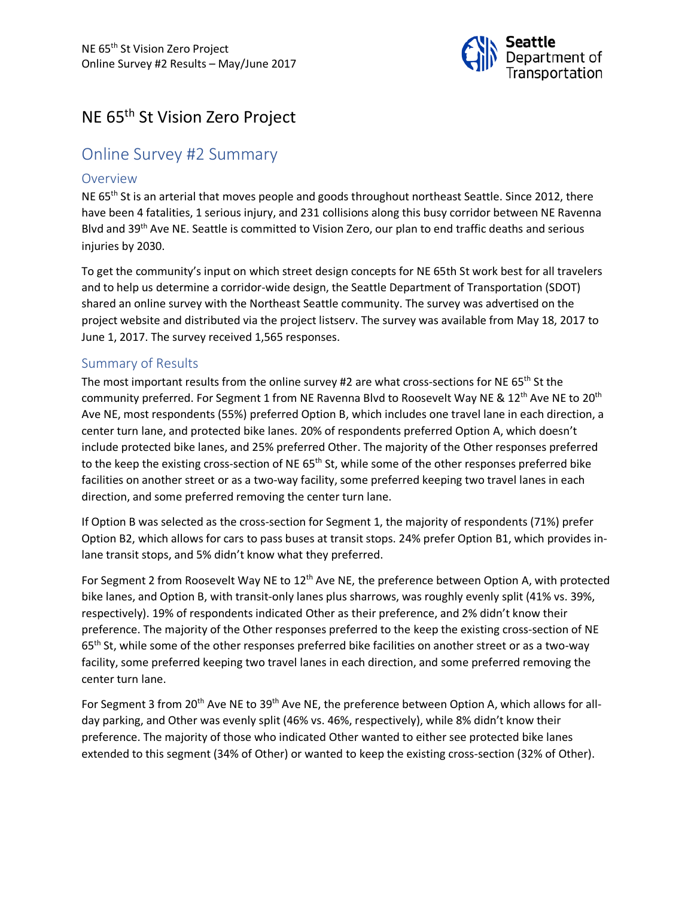

# NE 65th St Vision Zero Project

# Online Survey #2 Summary

#### **Overview**

NE  $65<sup>th</sup>$  St is an arterial that moves people and goods throughout northeast Seattle. Since 2012, there have been 4 fatalities, 1 serious injury, and 231 collisions along this busy corridor between NE Ravenna Blvd and 39<sup>th</sup> Ave NE. Seattle is committed to Vision Zero, our plan to end traffic deaths and serious injuries by 2030.

To get the community's input on which street design concepts for NE 65th St work best for all travelers and to help us determine a corridor-wide design, the Seattle Department of Transportation (SDOT) shared an online survey with the Northeast Seattle community. The survey was advertised on the project website and distributed via the project listserv. The survey was available from May 18, 2017 to June 1, 2017. The survey received 1,565 responses.

#### Summary of Results

The most important results from the online survey #2 are what cross-sections for NE 65<sup>th</sup> St the community preferred. For Segment 1 from NE Ravenna Blvd to Roosevelt Way NE &  $12^{th}$  Ave NE to 20<sup>th</sup> Ave NE, most respondents (55%) preferred Option B, which includes one travel lane in each direction, a center turn lane, and protected bike lanes. 20% of respondents preferred Option A, which doesn't include protected bike lanes, and 25% preferred Other. The majority of the Other responses preferred to the keep the existing cross-section of NE 65<sup>th</sup> St, while some of the other responses preferred bike facilities on another street or as a two-way facility, some preferred keeping two travel lanes in each direction, and some preferred removing the center turn lane.

If Option B was selected as the cross-section for Segment 1, the majority of respondents (71%) prefer Option B2, which allows for cars to pass buses at transit stops. 24% prefer Option B1, which provides inlane transit stops, and 5% didn't know what they preferred.

For Segment 2 from Roosevelt Way NE to 12<sup>th</sup> Ave NE, the preference between Option A, with protected bike lanes, and Option B, with transit-only lanes plus sharrows, was roughly evenly split (41% vs. 39%, respectively). 19% of respondents indicated Other as their preference, and 2% didn't know their preference. The majority of the Other responses preferred to the keep the existing cross-section of NE 65<sup>th</sup> St, while some of the other responses preferred bike facilities on another street or as a two-way facility, some preferred keeping two travel lanes in each direction, and some preferred removing the center turn lane.

For Segment 3 from 20<sup>th</sup> Ave NE to 39<sup>th</sup> Ave NE, the preference between Option A, which allows for allday parking, and Other was evenly split (46% vs. 46%, respectively), while 8% didn't know their preference. The majority of those who indicated Other wanted to either see protected bike lanes extended to this segment (34% of Other) or wanted to keep the existing cross-section (32% of Other).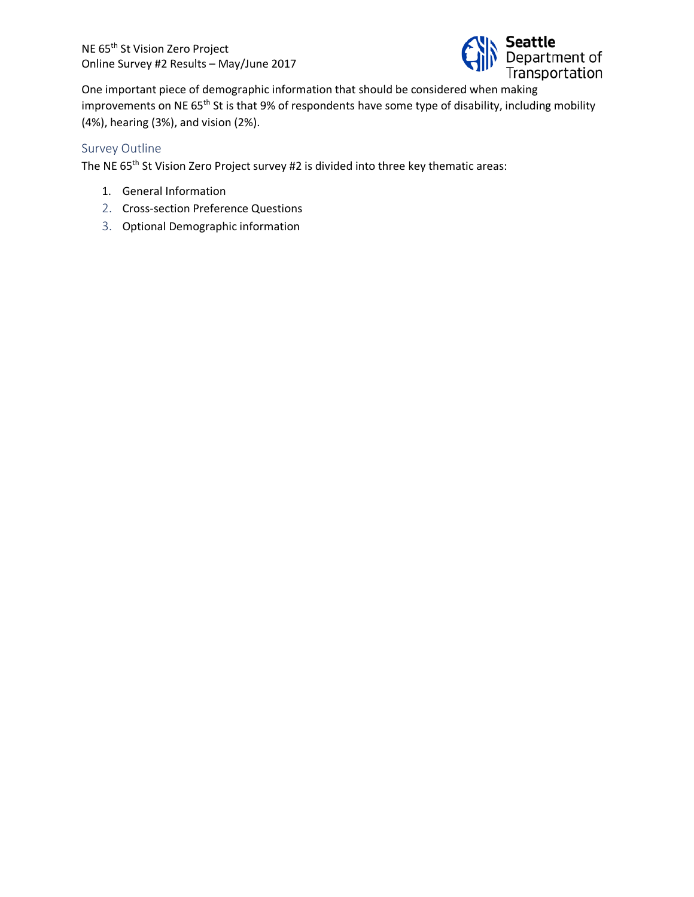

One important piece of demographic information that should be considered when making improvements on NE 65<sup>th</sup> St is that 9% of respondents have some type of disability, including mobility (4%), hearing (3%), and vision (2%).

#### Survey Outline

The NE 65<sup>th</sup> St Vision Zero Project survey #2 is divided into three key thematic areas:

- 1. General Information
- 2. Cross-section Preference Questions
- 3. Optional Demographic information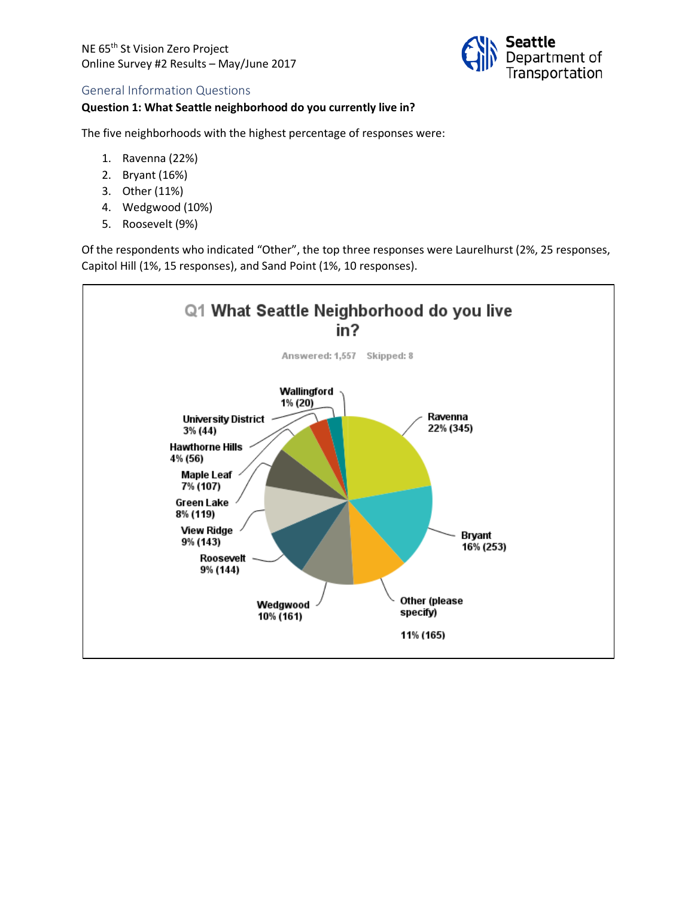

#### General Information Questions

#### **Question 1: What Seattle neighborhood do you currently live in?**

The five neighborhoods with the highest percentage of responses were:

- 1. Ravenna (22%)
- 2. Bryant (16%)
- 3. Other (11%)
- 4. Wedgwood (10%)
- 5. Roosevelt (9%)

Of the respondents who indicated "Other", the top three responses were Laurelhurst (2%, 25 responses, Capitol Hill (1%, 15 responses), and Sand Point (1%, 10 responses).

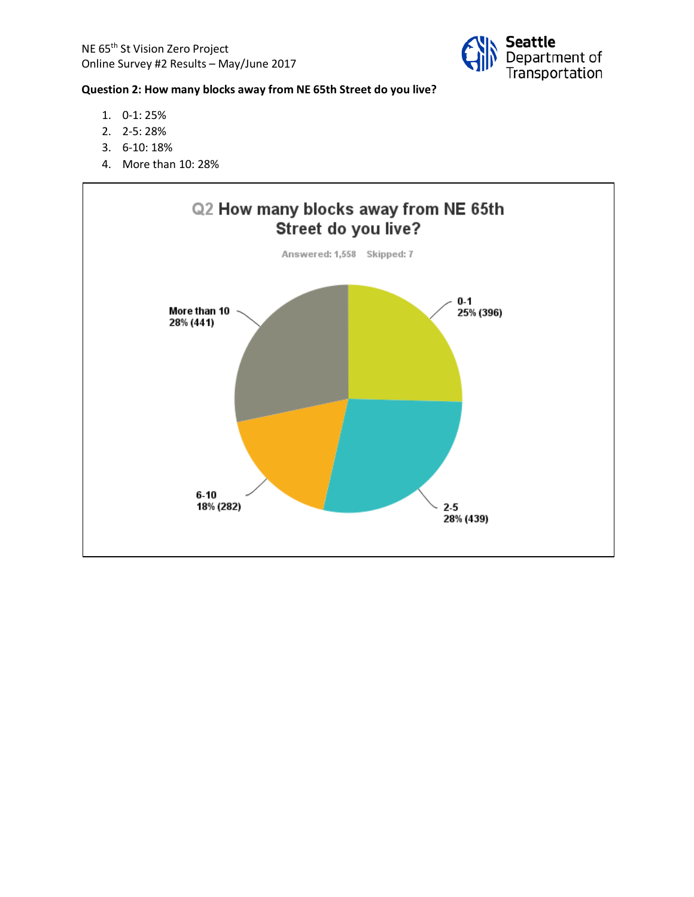

## **Question 2: How many blocks away from NE 65th Street do you live?**

- 1. 0-1: 25%
- 2. 2-5: 28%
- 3. 6-10: 18%
- 4. More than 10: 28%

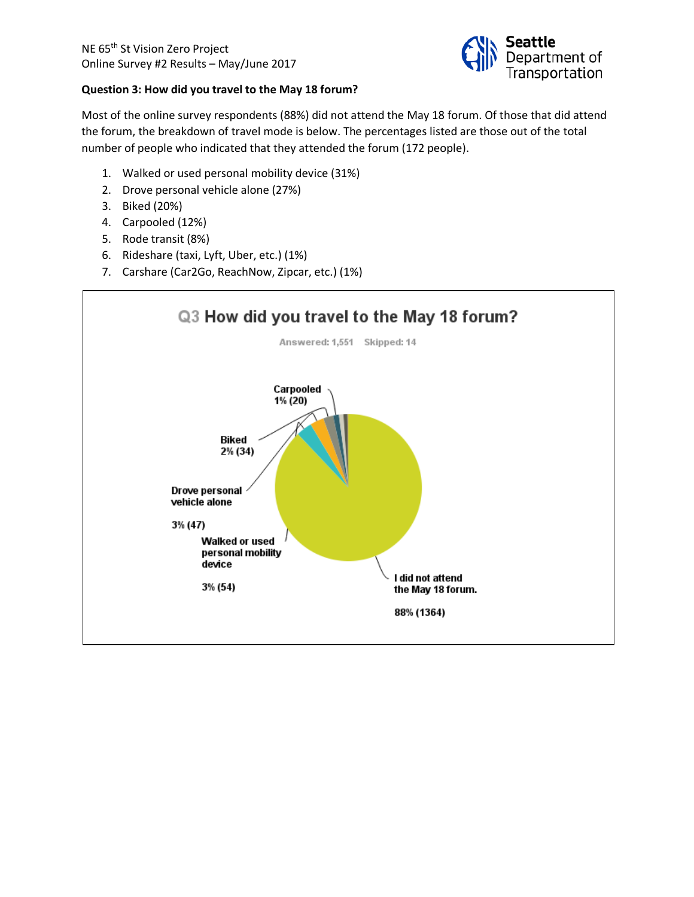

#### **Question 3: How did you travel to the May 18 forum?**

Most of the online survey respondents (88%) did not attend the May 18 forum. Of those that did attend the forum, the breakdown of travel mode is below. The percentages listed are those out of the total number of people who indicated that they attended the forum (172 people).

- 1. Walked or used personal mobility device (31%)
- 2. Drove personal vehicle alone (27%)
- 3. Biked (20%)
- 4. Carpooled (12%)
- 5. Rode transit (8%)
- 6. Rideshare (taxi, Lyft, Uber, etc.) (1%)
- 7. Carshare (Car2Go, ReachNow, Zipcar, etc.) (1%)

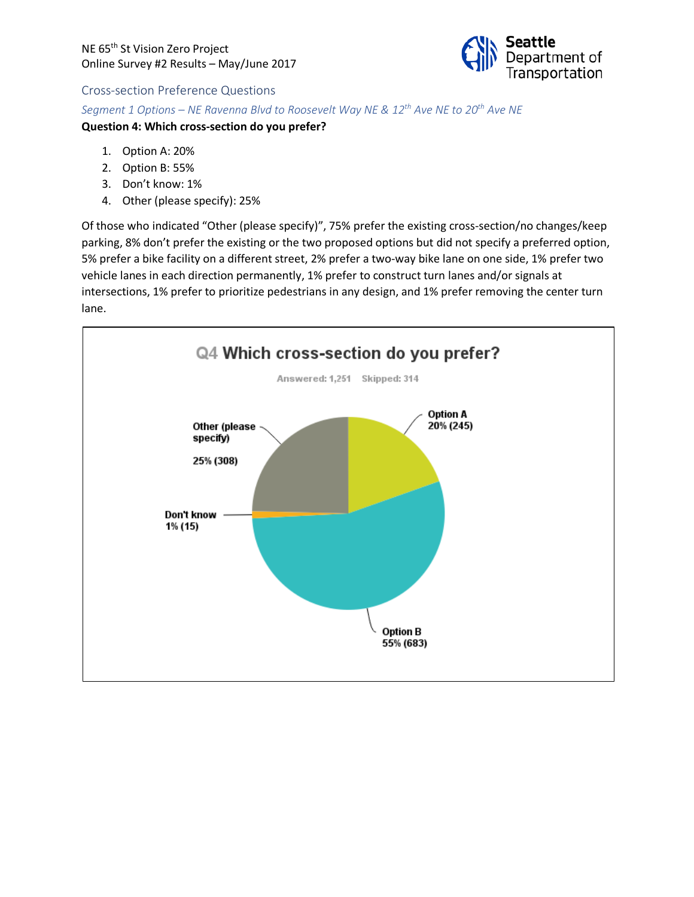

#### Cross-section Preference Questions

*Segment 1 Options – NE Ravenna Blvd to Roosevelt Way NE & 12th Ave NE to 20th Ave NE*

#### **Question 4: Which cross-section do you prefer?**

- 1. Option A: 20%
- 2. Option B: 55%
- 3. Don't know: 1%
- 4. Other (please specify): 25%

Of those who indicated "Other (please specify)", 75% prefer the existing cross-section/no changes/keep parking, 8% don't prefer the existing or the two proposed options but did not specify a preferred option, 5% prefer a bike facility on a different street, 2% prefer a two-way bike lane on one side, 1% prefer two vehicle lanes in each direction permanently, 1% prefer to construct turn lanes and/or signals at intersections, 1% prefer to prioritize pedestrians in any design, and 1% prefer removing the center turn lane.

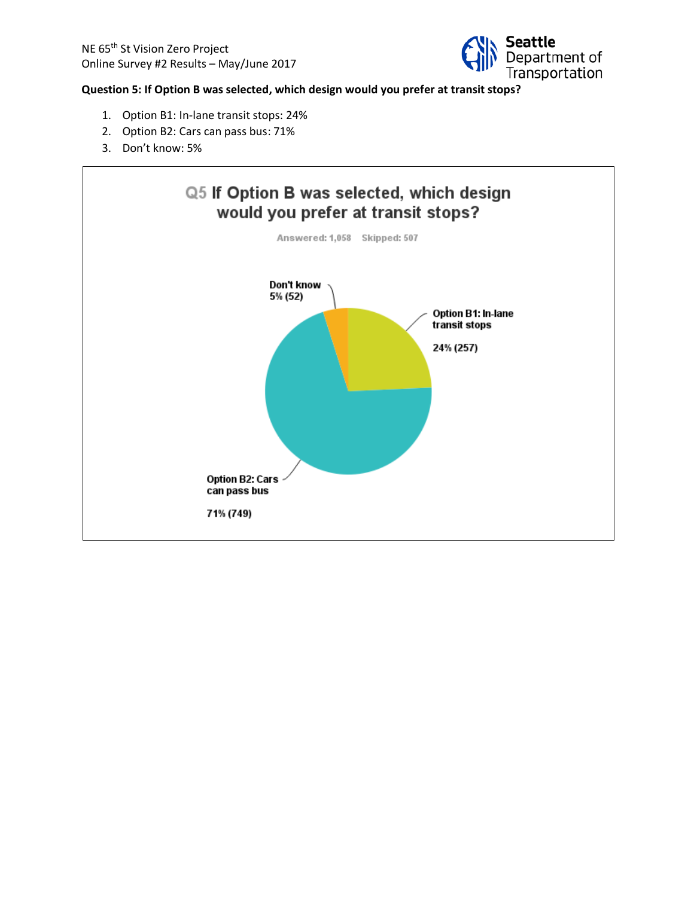

#### **Question 5: If Option B was selected, which design would you prefer at transit stops?**

- 1. Option B1: In-lane transit stops: 24%
- 2. Option B2: Cars can pass bus: 71%
- 3. Don't know: 5%

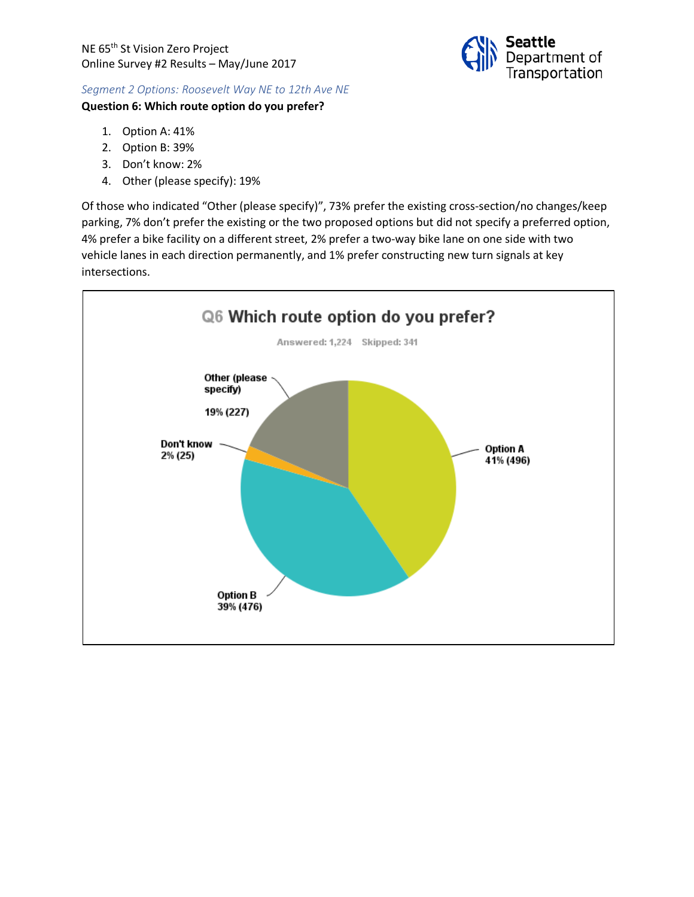

#### *Segment 2 Options: Roosevelt Way NE to 12th Ave NE*

#### **Question 6: Which route option do you prefer?**

- 1. Option A: 41%
- 2. Option B: 39%
- 3. Don't know: 2%
- 4. Other (please specify): 19%

Of those who indicated "Other (please specify)", 73% prefer the existing cross-section/no changes/keep parking, 7% don't prefer the existing or the two proposed options but did not specify a preferred option, 4% prefer a bike facility on a different street, 2% prefer a two-way bike lane on one side with two vehicle lanes in each direction permanently, and 1% prefer constructing new turn signals at key intersections.

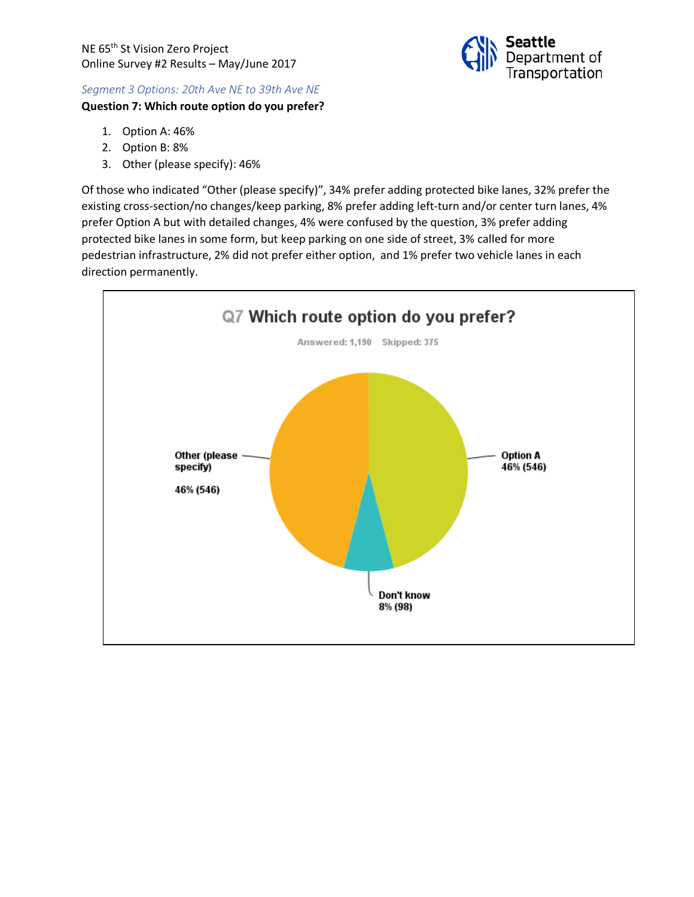

#### *Segment 3 Options: 20th Ave NE to 39th Ave NE*

#### **Question 7: Which route option do you prefer?**

- 1. Option A: 46%
- 2. Option B: 8%
- 3. Other (please specify): 46%

Of those who indicated "Other (please specify)", 34% prefer adding protected bike lanes, 32% prefer the existing cross-section/no changes/keep parking, 8% prefer adding left-turn and/or center turn lanes, 4% prefer Option A but with detailed changes, 4% were confused by the question, 3% prefer adding protected bike lanes in some form, but keep parking on one side of street, 3% called for more pedestrian infrastructure, 2% did not prefer either option, and 1% prefer two vehicle lanes in each direction permanently.

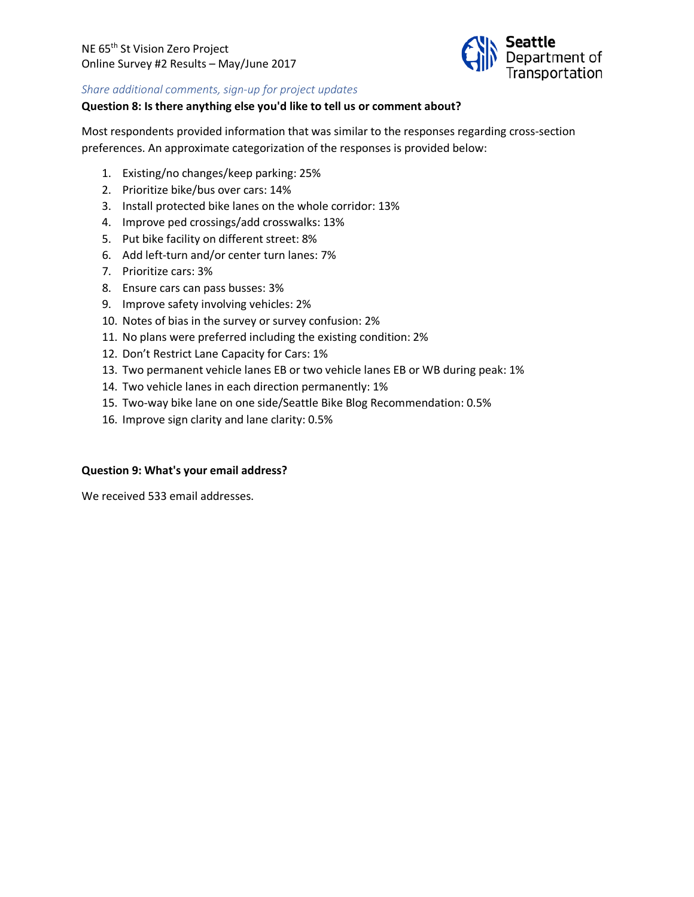

#### *Share additional comments, sign-up for project updates*

#### **Question 8: Is there anything else you'd like to tell us or comment about?**

Most respondents provided information that was similar to the responses regarding cross-section preferences. An approximate categorization of the responses is provided below:

- 1. Existing/no changes/keep parking: 25%
- 2. Prioritize bike/bus over cars: 14%
- 3. Install protected bike lanes on the whole corridor: 13%
- 4. Improve ped crossings/add crosswalks: 13%
- 5. Put bike facility on different street: 8%
- 6. Add left-turn and/or center turn lanes: 7%
- 7. Prioritize cars: 3%
- 8. Ensure cars can pass busses: 3%
- 9. Improve safety involving vehicles: 2%
- 10. Notes of bias in the survey or survey confusion: 2%
- 11. No plans were preferred including the existing condition: 2%
- 12. Don't Restrict Lane Capacity for Cars: 1%
- 13. Two permanent vehicle lanes EB or two vehicle lanes EB or WB during peak: 1%
- 14. Two vehicle lanes in each direction permanently: 1%
- 15. Two-way bike lane on one side/Seattle Bike Blog Recommendation: 0.5%
- 16. Improve sign clarity and lane clarity: 0.5%

#### **Question 9: What's your email address?**

We received 533 email addresses.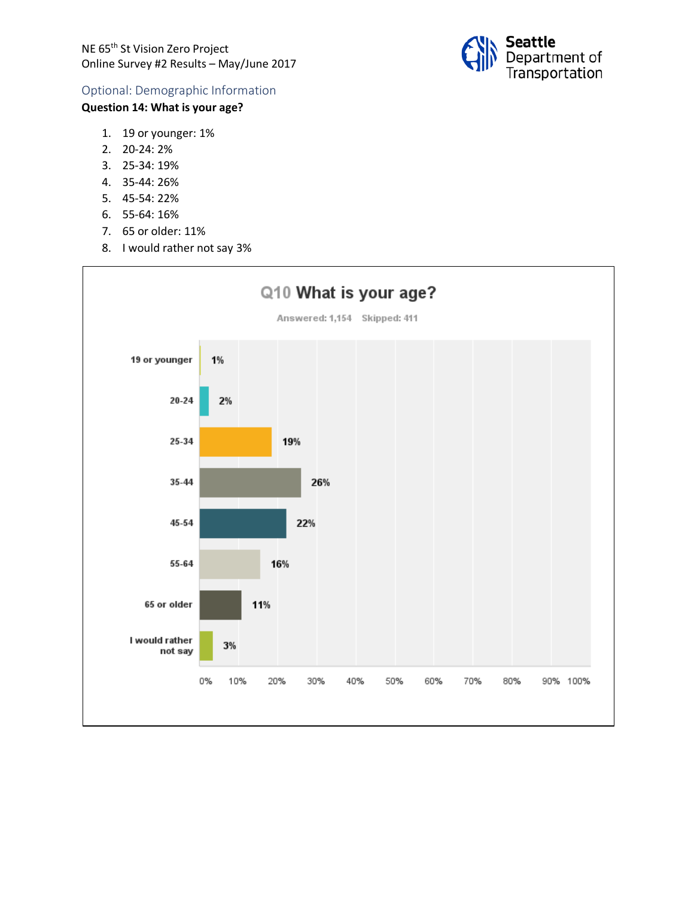

## Optional: Demographic Information

## **Question 14: What is your age?**

- 1. 19 or younger: 1%
- 2. 20-24: 2%
- 3. 25-34: 19%
- 4. 35-44: 26%
- 5. 45-54: 22%
- 6. 55-64: 16%
- 7. 65 or older: 11%
- 8. I would rather not say 3%

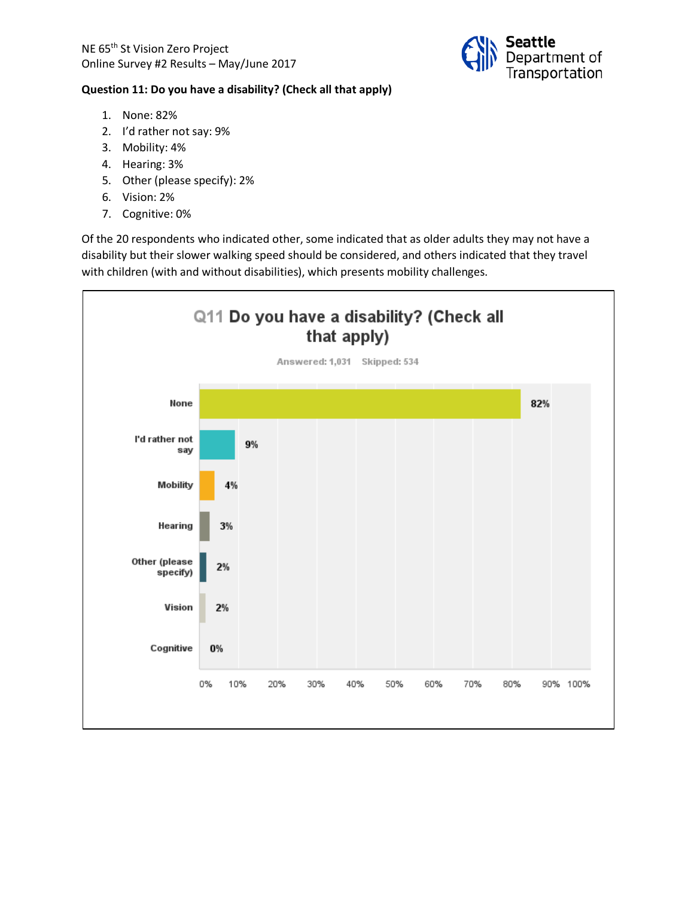

#### **Question 11: Do you have a disability? (Check all that apply)**

- 1. None: 82%
- 2. I'd rather not say: 9%
- 3. Mobility: 4%
- 4. Hearing: 3%
- 5. Other (please specify): 2%
- 6. Vision: 2%
- 7. Cognitive: 0%

Of the 20 respondents who indicated other, some indicated that as older adults they may not have a disability but their slower walking speed should be considered, and others indicated that they travel with children (with and without disabilities), which presents mobility challenges.

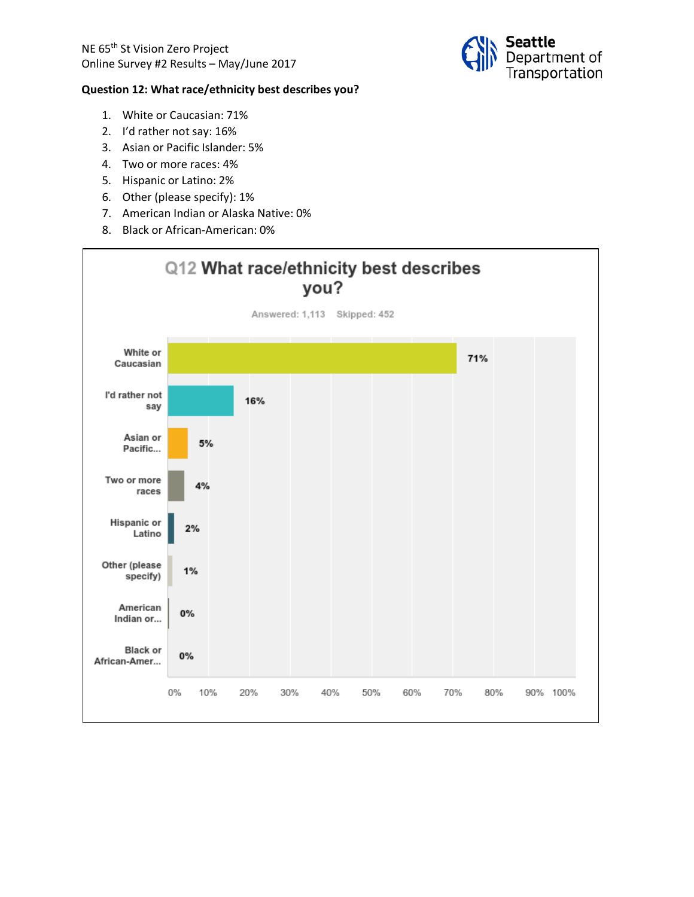

#### **Question 12: What race/ethnicity best describes you?**

- 1. White or Caucasian: 71%
- 2. I'd rather not say: 16%
- 3. Asian or Pacific Islander: 5%
- 4. Two or more races: 4%
- 5. Hispanic or Latino: 2%
- 6. Other (please specify): 1%
- 7. American Indian or Alaska Native: 0%
- 8. Black or African-American: 0%

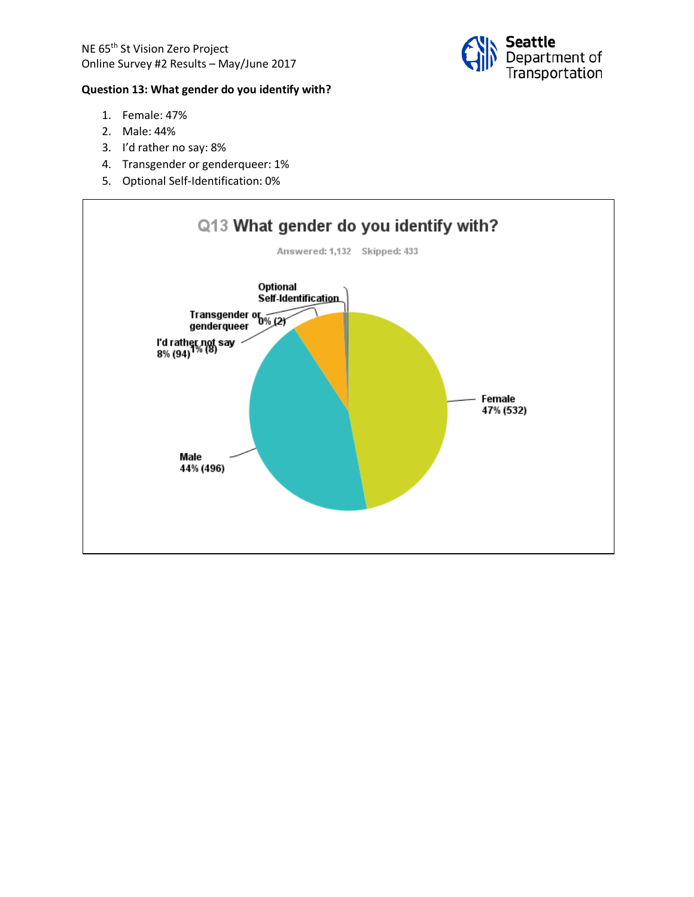# **Question 13: What gender do you identify with?**

- 1. Female: 47%
- 2. Male: 44%
- 3. I'd rather no say: 8%
- 4. Transgender or genderqueer: 1%
- 5. Optional Self-Identification: 0%



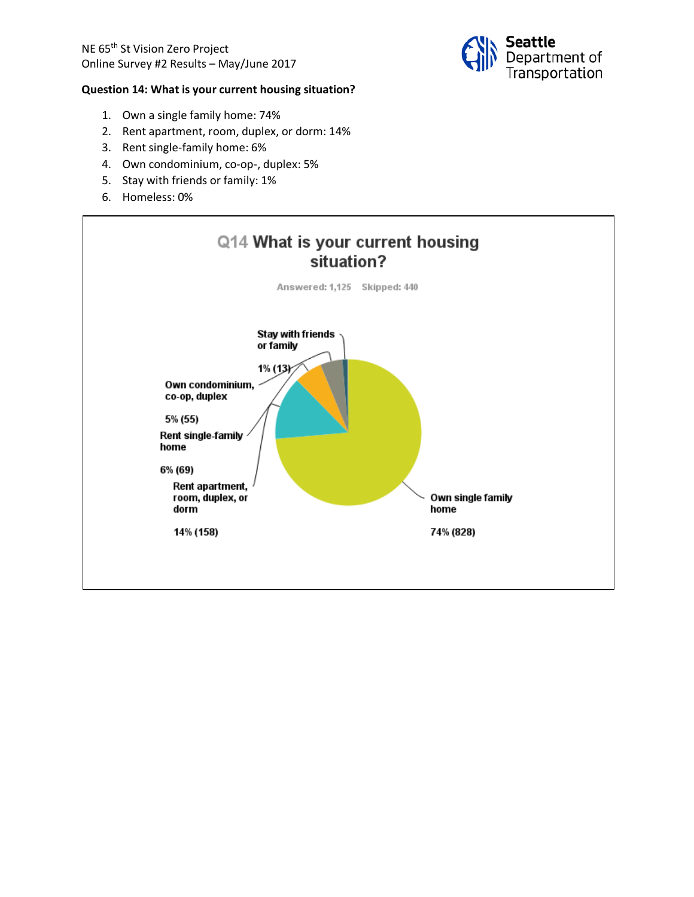

#### **Question 14: What is your current housing situation?**

- 1. Own a single family home: 74%
- 2. Rent apartment, room, duplex, or dorm: 14%
- 3. Rent single-family home: 6%
- 4. Own condominium, co-op-, duplex: 5%
- 5. Stay with friends or family: 1%
- 6. Homeless: 0%

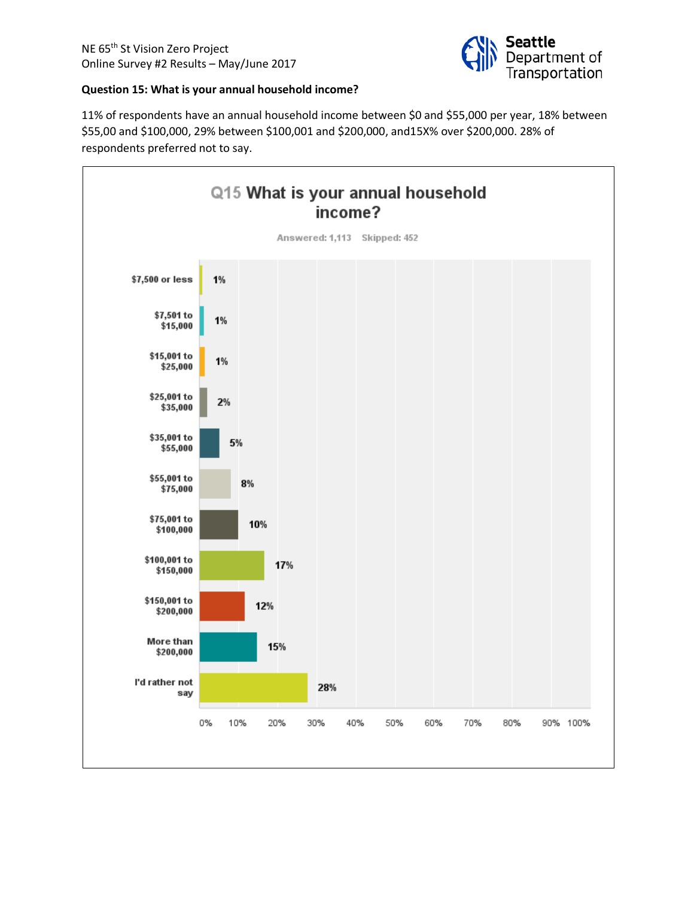

#### **Question 15: What is your annual household income?**

11% of respondents have an annual household income between \$0 and \$55,000 per year, 18% between \$55,00 and \$100,000, 29% between \$100,001 and \$200,000, and15X% over \$200,000. 28% of respondents preferred not to say.